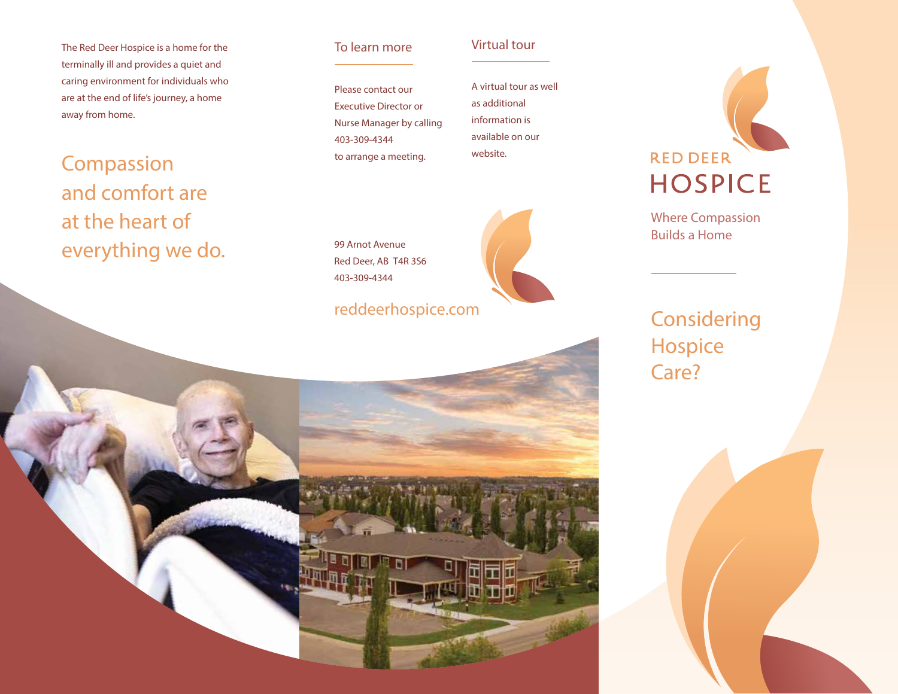The Red Deer Hospice is a home for the terminally ill and provides a quiet and caring environment for individuals who are at the end of life's journey, a home away from home.

Compassion and comfort are at the heart of everything we do.

#### To learn more

Please contact our Executive Director or Nurse Manager by calling 403-309-4344 to arrange a meeting.

# A virtual tour as well

Virtual tour

as additional information is available on our website.

99 Arnot Avenue Red Deer, AB T4R 3S6 403-309-4344

## reddeerhospice.com



Where Compassion Builds a Home

Considering Hospice Care?